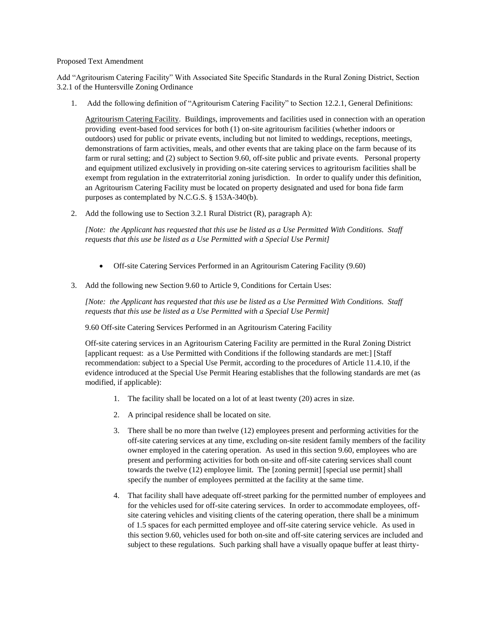## Proposed Text Amendment

Add "Agritourism Catering Facility" With Associated Site Specific Standards in the Rural Zoning District, Section 3.2.1 of the Huntersville Zoning Ordinance

1. Add the following definition of "Agritourism Catering Facility" to Section 12.2.1, General Definitions:

Agritourism Catering Facility. Buildings, improvements and facilities used in connection with an operation providing event-based food services for both (1) on-site agritourism facilities (whether indoors or outdoors) used for public or private events, including but not limited to weddings, receptions, meetings, demonstrations of farm activities, meals, and other events that are taking place on the farm because of its farm or rural setting; and (2) subject to Section 9.60, off-site public and private events. Personal property and equipment utilized exclusively in providing on-site catering services to agritourism facilities shall be exempt from regulation in the extraterritorial zoning jurisdiction. In order to qualify under this definition, an Agritourism Catering Facility must be located on property designated and used for bona fide farm purposes as contemplated by N.C.G.S. § 153A-340(b).

2. Add the following use to Section 3.2.1 Rural District (R), paragraph A):

*[Note: the Applicant has requested that this use be listed as a Use Permitted With Conditions. Staff requests that this use be listed as a Use Permitted with a Special Use Permit]*

- Off-site Catering Services Performed in an Agritourism Catering Facility (9.60)
- 3. Add the following new Section 9.60 to Article 9, Conditions for Certain Uses:

*[Note: the Applicant has requested that this use be listed as a Use Permitted With Conditions. Staff requests that this use be listed as a Use Permitted with a Special Use Permit]*

9.60 Off-site Catering Services Performed in an Agritourism Catering Facility

Off-site catering services in an Agritourism Catering Facility are permitted in the Rural Zoning District [applicant request: as a Use Permitted with Conditions if the following standards are met:] [Staff recommendation: subject to a Special Use Permit, according to the procedures of Article 11.4.10, if the evidence introduced at the Special Use Permit Hearing establishes that the following standards are met (as modified, if applicable):

- 1. The facility shall be located on a lot of at least twenty (20) acres in size.
- 2. A principal residence shall be located on site.
- 3. There shall be no more than twelve (12) employees present and performing activities for the off-site catering services at any time, excluding on-site resident family members of the facility owner employed in the catering operation. As used in this section 9.60, employees who are present and performing activities for both on-site and off-site catering services shall count towards the twelve (12) employee limit. The [zoning permit] [special use permit] shall specify the number of employees permitted at the facility at the same time.
- 4. That facility shall have adequate off-street parking for the permitted number of employees and for the vehicles used for off-site catering services. In order to accommodate employees, offsite catering vehicles and visiting clients of the catering operation, there shall be a minimum of 1.5 spaces for each permitted employee and off-site catering service vehicle. As used in this section 9.60, vehicles used for both on-site and off-site catering services are included and subject to these regulations. Such parking shall have a visually opaque buffer at least thirty-